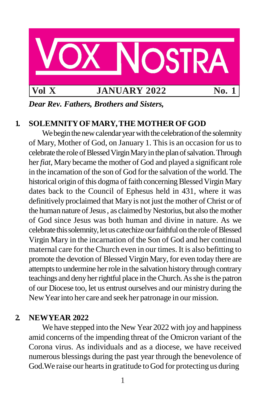

*Dear Rev. Fathers, Brothers and Sisters,*

# **1. SOLEMNITYOFMARY,THE MOTHER OFGOD**

We begin the new calendar year with the celebration of the solemnity of Mary, Mother of God, on January 1. This is an occasion for us to celebrate the role of Blessed Virgin Mary in the plan of salvation. Through her *fiat*, Mary became the mother of God and played a significant role in the incarnation of the son of God for the salvation of the world.The historical origin of this dogma of faith concerning Blessed Virgin Mary dates back to the Council of Ephesus held in 431, where it was definitively proclaimed that Mary is not just the mother of Christ or of the human nature of Jesus, as claimed by Nestorius, but also the mother of God since Jesus was both human and divine in nature. As we celebrate this solemnity, let us catechize our faithful on the role of Blessed Virgin Mary in the incarnation of the Son of God and her continual maternal care for the Church even in our times. It is also befitting to promote the devotion of Blessed Virgin Mary, for even today there are attempts to undermine her role in the salvation history through contrary teachings and denyherrightful place in theChurch.Asshe isthe patron of our Diocese too, let us entrust ourselves and our ministry during the NewYearinto her care and seek her patronage in our mission.

### **2. NEWYEAR 2022**

We have stepped into the New Year 2022 with joy and happiness amid concerns of the impending threat of the Omicron variant of the Corona virus. As individuals and as a diocese, we have received numerous blessings during the past year through the benevolence of God. We raise our hearts in gratitude to God for protecting us during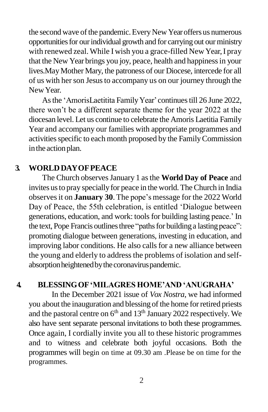the second wave of the pandemic. Every New Year offers us numerous opportunities for our individual growth and for carrying out our ministry with renewed zeal. While I wish you a grace-filled New Year, I pray that the New Year brings you joy, peace, health and happiness in your lives.MayMother Mary, the patroness of our Diocese, intercede for all of us with herson Jesusto accompany us on our journey through the NewYear.

As the 'AmorisLaetitita Family Year' continues till 26 June 2022, there won't be a different separate theme for the year 2022 at the diocesan level. Let us continue to celebrate the Amoris Laetitia Family Year and accompany our families with appropriate programmes and activities specific to each month proposed by the Family Commission in the action plan.

# **3. WORLDDAYOFPEACE**

The Church observesJanuary 1 asthe **World Day of Peace** and invites usto pray speciallyfor peace in the world.TheChurch in India observesit on **January 30**. The pope's message for the 2022 World Day of Peace, the 55th celebration, is entitled 'Dialogue between generations, education, and work: tools for building lasting peace.' In the text, Pope Francis outlines three "paths for building a lasting peace": promoting dialogue between generations, investing in education, and improving labor conditions. He also calls for a new alliance between the young and elderly to address the problems of isolation and selfabsorption heightened by the coronavirus pandemic.

# **4. BLESSINGOF'MILAGRES HOME'AND 'ANUGRAHA'**

In the December 2021 issue of *Vox Nostra*, we had informed you about the inauguration and blessing of the home forretired priests and the pastoral centre on 6<sup>th</sup> and 13<sup>th</sup> January 2022 respectively. We also have sent separate personal invitations to both these programmes. Once again, I cordially invite you all to these historic programmes and to witness and celebrate both joyful occasions. Both the programmes will begin on time at 09.30 am .Please be on time for the programmes.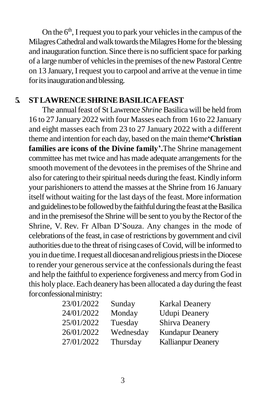On the  $6<sup>th</sup>$ , I request you to park your vehicles in the campus of the Milagres Cathedral and walk towards the Milagres Home for the blessing and inauguration function. Since there is no sufficient space for parking of a large number of vehicles in the premises of the new Pastoral Centre on 13 January,I request you to carpool and arrive at the venue in time for its inauguration and blessing.

# **5. STLAWRENCESHRINEBASILICAFEAST**

The annual feast of St Lawrence *Shrine* Basilica will be held from 16 to 27 January 2022 with four Masses each from 16 to 22 January and eight masses each from 23 to 27 January 2022 with a different theme and intention for each day, based on the main theme**'Christian families are icons of the Divine family'.**The Shrine management committee has met twice and has made adequate arrangements for the smooth movement of the devotees in the premises of the Shrine and also for catering to their spiritual needs during the feast. Kindly inform your parishioners to attend the masses at the Shrine from 16 January itself without waiting for the last days of the feast. More information and guidelines to be followed by the faithful during the feast at the Basilica and in the premises of the Shrine will be sent to you by the Rector of the Shrine, V. Rev. Fr Alban D'Souza. Any changes in the mode of celebrations of the feast, in case of restrictions by government and civil authorities due to the threat of rising cases of Covid, will be informed to you in due time. I request all diocesan and religious priests in the Diocese to render your generousservice at the confessionals during the feast and help the faithful to experience forgiveness and mercy from God in this holy place.Each deanery has been allocated a day during the feast for confessional ministry:

| 23/01/2022 | Sunday    | <b>Karkal Deanery</b>     |
|------------|-----------|---------------------------|
| 24/01/2022 | Monday    | <b>Udupi Deanery</b>      |
| 25/01/2022 | Tuesday   | Shirva Deanery            |
| 26/01/2022 | Wednesday | <b>Kundapur Deanery</b>   |
| 27/01/2022 | Thursday  | <b>Kallianpur Deanery</b> |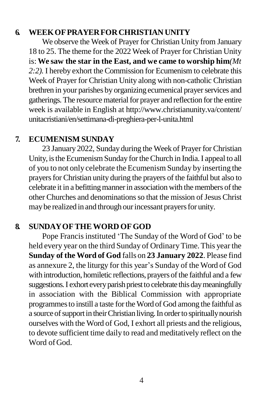# **6. WEEKOFPRAYERFORCHRISTIAN UNITY**

We observe the Week of Prayer for Christian Unity from January 18 to 25. The theme for the 2022 Week of Prayer for Christian Unity is:**We saw the star in the East, and we came to worship him***(Mt 2:2).* I hereby exhort the Commission for Ecumenism to celebrate this Week of Prayer for Christian Unity along with non-catholic Christian brethren in your parishes by organizing ecumenical prayer services and gatherings.The resource materialfor prayer and reflection forthe entire week is available in English at <http://www.christianunity.va/content/> unitacristiani/en/settimana-di-preghiera-per-l-unita.html

# **7. ECUMENISM SUNDAY**

23 January 2022, Sunday during the Week of Prayer for Christian Unity, is the Ecumenism Sunday for the Church in India. I appeal to all of you to not only celebrate the Ecumenism Sunday by inserting the prayers for Christian unity during the prayers of the faithful but also to celebrate it in a befitting manner in association with the members of the other Churches and denominations so that the mission of Jesus Christ may be realized in and through our incessant prayers for unity.

# **8. SUNDAYOFTHEWORD OFGOD**

Pope Francis instituted 'The Sunday of the Word of God' to be held every year on the third Sunday of OrdinaryTime.This year the **Sunday of the Word of God** falls on **23 January 2022**. Please find as annexure 2, the liturgy for this year's Sunday of the Word of God with introduction, homiletic reflections, prayers of the faithful and a few suggestions. I exhort every parish priest to celebrate this day meaningfully in association with the Biblical Commission with appropriate programmesto instill a taste fortheWord of God among the faithful as a source of support in their Christian living. In order to spiritually nourish ourselves with the Word of God, I exhort all priests and the religious, to devote sufficient time daily to read and meditatively reflect on the Word of God.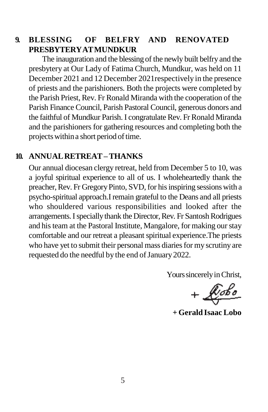## **9. BLESSING OF BELFRY AND RENOVATED PRESBYTERYATMUNDKUR**

The inauguration and the blessing of the newly built belfry and the presbytery at Our Lady of Fatima Church, Mundkur, was held on 11 December 2021 and 12 December 2021respectively in the presence of priests and the parishioners. Both the projects were completed by the Parish Priest, Rev. Fr Ronald Miranda with the cooperation of the Parish Finance Council, Parish Pastoral Council, generous donors and the faithful of Mundkur Parish. I congratulate Rev. Fr Ronald Miranda and the parishioners for gathering resources and completing both the projects within a short period of time.

# **10. ANNUALRETREAT–THANKS**

Our annual diocesan clergy retreat, held from December 5 to 10, was a joyful spiritual experience to all of us. I wholeheartedly thank the preacher, Rev. Fr Gregory Pinto, SVD, for his inspiring sessions with a psycho-spiritual approach.I remain grateful to the Deans and all priests who shouldered various responsibilities and looked after the arrangements. I specially thank the Director, Rev. Fr Santosh Rodrigues and histeam at the Pastoral Institute, Mangalore, for making ourstay comfortable and our retreat a pleasant spiritual experience. The priests who have yet to submit their personal mass diaries for my scrutiny are requested do the needful by the end of January 2022.

Yours sincerely in Christ,

 $+\sqrt{\cosh^2\theta}$ 

**+ Gerald Isaac Lobo**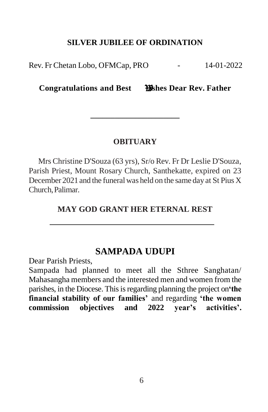### **SILVER JUBILEE OF ORDINATION**

Rev. Fr Chetan Lobo, OFMCap, PRO  $14-01-2022$ 

# **Congratulations and Best ishes Dear Rev. Father**

**\_\_\_\_\_\_\_\_\_\_\_\_\_\_\_\_\_\_\_\_\_\_**

#### **OBITUARY**

Mrs Christine D'Souza (63 yrs), Sr/o Rev. Fr Dr Leslie D'Souza, Parish Priest, Mount Rosary Church, Santhekatte, expired on 23 December 2021 and the funeral was held on the same day at St Pius X Church,Palimar.

### **MAY GOD GRANT HER ETERNAL REST**

## **SAMPADA UDUPI**

Dear Parish Priests,

Sampada had planned to meet all the Sthree Sanghatan/ Mahasangha members and the interested men and women from the parishes, in the Diocese. This is regarding planning the project on **the financial stability of our families'** and regarding **'the women commission objectives and 2022 year's activities'.**